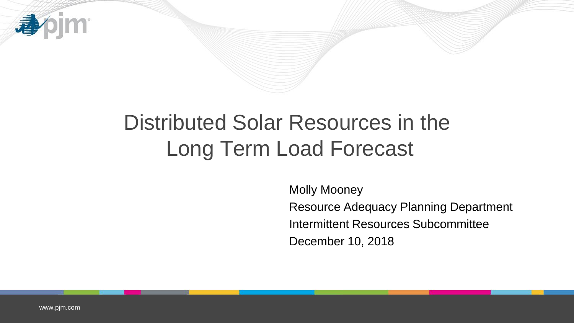

# Distributed Solar Resources in the Long Term Load Forecast

Molly Mooney Resource Adequacy Planning Department Intermittent Resources Subcommittee December 10, 2018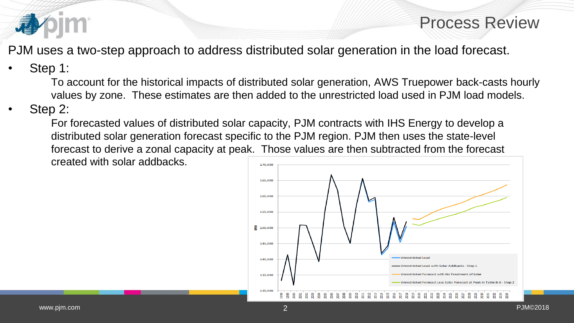

### Process Review

PJM uses a two-step approach to address distributed solar generation in the load forecast.

### Step 1:

To account for the historical impacts of distributed solar generation, AWS Truepower back-casts hourly values by zone. These estimates are then added to the unrestricted load used in PJM load models.

#### Step 2:

For forecasted values of distributed solar capacity, PJM contracts with IHS Energy to develop a distributed solar generation forecast specific to the PJM region. PJM then uses the state-level forecast to derive a zonal capacity at peak. Those values are then subtracted from the forecast created with solar addbacks.

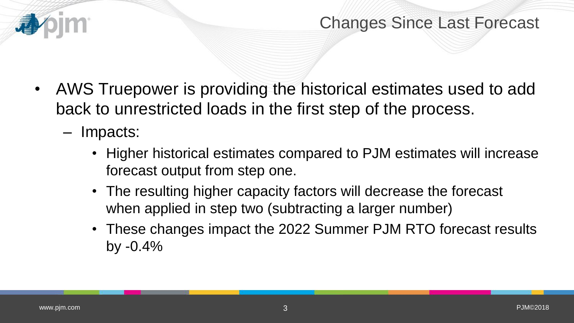

## Changes Since Last Forecast

- AWS Truepower is providing the historical estimates used to add back to unrestricted loads in the first step of the process.
	- Impacts:
		- Higher historical estimates compared to PJM estimates will increase forecast output from step one.
		- The resulting higher capacity factors will decrease the forecast when applied in step two (subtracting a larger number)
		- These changes impact the 2022 Summer PJM RTO forecast results by -0.4%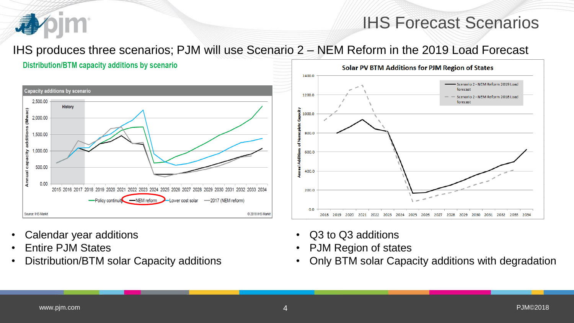

#### IHS produces three scenarios; PJM will use Scenario 2 – NEM Reform in the 2019 Load Forecast





- Calendar year additions
- Entire PJM States
- Distribution/BTM solar Capacity additions



- Q3 to Q3 additions
- PJM Region of states
- Only BTM solar Capacity additions with degradation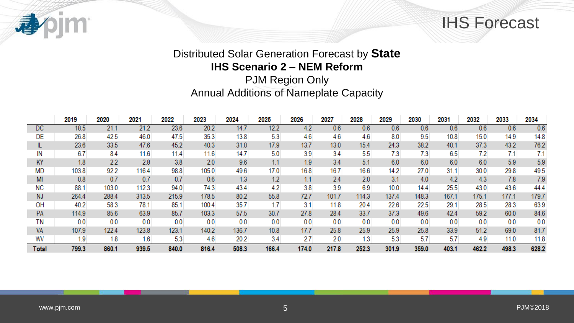



#### Distributed Solar Generation Forecast by **State IHS Scenario 2 – NEM Reform**

PJM Region Only Annual Additions of Nameplate Capacity

|              | 2019  | 2020  | 2021  | 2022  | 2023  | 2024  | 2025  | 2026  | 2027  | 2028  | 2029  | 2030  | 2031  | 2032  | 2033  | 2034  |
|--------------|-------|-------|-------|-------|-------|-------|-------|-------|-------|-------|-------|-------|-------|-------|-------|-------|
| <b>DC</b>    | 18.5  | 21.1  | 21.2  | 23.6  | 20.2  | 14.7  | 12.2  | 4.2   | 0.6   | 0.6   | 0.6   | 0.6   | 0.6   | 0.6   | 0.6   | 0.6   |
| DE           | 26.8  | 42.5  | 46.0  | 47.5  | 35.3  | 13.8  | 5.3   | 4.6   | 4.6   | 4.6   | 8.0   | 9.5   | 10.8  | 15.0  | 14.9  | 14.8  |
|              | 23.6  | 33.5  | 47.6  | 45.2  | 40.3  | 31.0  | 17.9  | 13.7  | 13.0  | 15.4  | 24.3  | 38.2  | 40.1  | 37.3  | 43.2  | 76.2  |
| IN           | 6.7   | 8.4   | 11.6  | 11.4  | 11.6  | 14.7  | 5.0   | 3.9   | 3.4   | 5.5   | 7.3   | 7.3   | 6.5   | 7.2   | 7.1   | 7.1   |
| KY           | 1.8   | 2.2   | 2.8   | 3.8   | 2.0   | 9.6   | 1.1   | 1.9   | 3.4   | 5.1   | 6.0   | 6.0   | 6.0   | 6.0   | 5.9   | 5.9   |
| <b>MD</b>    | 103.8 | 92.2  | 116.4 | 98.8  | 105.0 | 49.6  | 17.0  | 16.8  | 16.7  | 16.6  | 14.2  | 27.0  | 31.1  | 30.0  | 29.8  | 49.5  |
| MI           | 0.8   | 0.7   | 0.7   | 0.7   | 0.6   | 1.3   | 1.2   | 1.1   | 2.4   | 2.0   | 3.1   | 4.0   | 4.2   | 4.3   | 7.8   | 7.9   |
| NС           | 88.1  | 103.0 | 112.3 | 94.0  | 74.3  | 43.4  | 4.2   | 3.8   | 3.9   | 6.9   | 10.0  | 14.4  | 25.5  | 43.0  | 43.6  | 44.4  |
| <b>NJ</b>    | 264.4 | 288.4 | 313.5 | 215.9 | 178.5 | 80.2  | 55.8  | 72.7  | 101.7 | 114.3 | 137.4 | 148.3 | 167.1 | 175.1 | 177.1 | 179.7 |
| OH           | 40.2  | 58.3  | 78.1  | 85.1  | 100.4 | 35.7  | 1.7   | 3.1   | 11.8  | 20.4  | 22.6  | 22.5  | 29.1  | 28.5  | 28.3  | 63.9  |
| <b>PA</b>    | 114.9 | 85.6  | 63.9  | 85.7  | 103.3 | 57.5  | 30.7  | 27.8  | 28.4  | 33.7  | 37.3  | 49.6  | 42.4  | 59.2  | 60.0  | 84.6  |
| ΤN           | 0.0   | 0.0   | 0.0   | 0.0   | 0.0   | 0.0   | 0.0   | 0.0   | 0.0   | 0.0   | 0.0   | 0.0   | 0.0   | 0.0   | 0.0   | 0.0   |
| <b>VA</b>    | 107.9 | 122.4 | 123.8 | 123.1 | 140.2 | 136.7 | 10.8  | 17.7  | 25.8  | 25.9  | 25.9  | 25.8  | 33.9  | 51.2  | 69.0  | 81.7  |
| WV           | 1.9   | 1.8   | 1.6   | 5.3   | 4.6   | 20.2  | 3.4   | 2.7   | 2.0   | 1.3   | 5.3   | 5.7   | 5.7   | 4.9   | 11.0  | 11.8  |
| <b>Total</b> | 799.3 | 860.1 | 939.5 | 840.0 | 816.4 | 508.3 | 166.4 | 174.0 | 217.8 | 252.3 | 301.9 | 359.0 | 403.1 | 462.2 | 498.3 | 628.2 |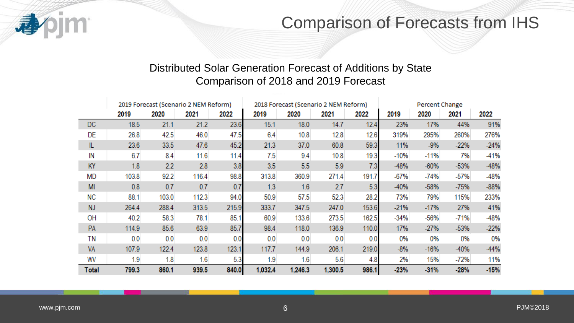

## Comparison of Forecasts from IHS

#### Distributed Solar Generation Forecast of Additions by State Comparison of 2018 and 2019 Forecast

|              |       | 2019 Forecast (Scenario 2 NEM Reform) |       |       |         |         | 2018 Forecast (Scenario 2 NEM Reform) |       |        | Percent Change |        |        |  |
|--------------|-------|---------------------------------------|-------|-------|---------|---------|---------------------------------------|-------|--------|----------------|--------|--------|--|
|              | 2019  | 2020                                  | 2021  | 2022  | 2019    | 2020    | 2021                                  | 2022  | 2019   | 2020           | 2021   | 2022   |  |
| DC.          | 18.5  | 21.1                                  | 21.2  | 23.6  | 15.1    | 18.0    | 14.7                                  | 12.4  | 23%    | 17%            | 44%    | 91%    |  |
| DE           | 26.8  | 42.5                                  | 46.0  | 47.5  | 6.4     | 10.8    | 12.8                                  | 12.6  | 319%   | 295%           | 260%   | 276%   |  |
| IL           | 23.6  | 33.5                                  | 47.6  | 45.2  | 21.3    | 37.0    | 60.8                                  | 59.3  | 11%    | $-9%$          | $-22%$ | $-24%$ |  |
| IN           | 6.7   | 8.4                                   | 11.6  | 11.4  | 7.5     | 9.4     | 10.8                                  | 19.3  | $-10%$ | $-11%$         | 7%     | -41%   |  |
| KY           | 1.8   | 2.2                                   | 2.8   | 3.8   | 3.5     | 5.5     | 5.9                                   | 7.3   | -48%   | $-60%$         | $-53%$ | -48%   |  |
| <b>MD</b>    | 103.8 | 92.2                                  | 116.4 | 98.8  | 313.8   | 360.9   | 271.4                                 | 191.7 | $-67%$ | $-74%$         | $-57%$ | -48%   |  |
| MI           | 0.8   | 0.7                                   | 0.7   | 0.7   | 1.3     | 1.6     | 2.7                                   | 5.3   | $-40%$ | $-58%$         | $-75%$ | $-88%$ |  |
| <b>NC</b>    | 88.1  | 103.0                                 | 112.3 | 94.0  | 50.9    | 57.5    | 52.3                                  | 28.2  | 73%    | 79%            | 115%   | 233%   |  |
| <b>NJ</b>    | 264.4 | 288.4                                 | 313.5 | 215.9 | 333.7   | 347.5   | 247.0                                 | 153.6 | $-21%$ | $-17%$         | 27%    | 41%    |  |
| OH           | 40.2  | 58.3                                  | 78.1  | 85.1  | 60.9    | 133.6   | 273.5                                 | 162.5 | $-34%$ | $-56%$         | $-71%$ | -48%   |  |
| PA           | 114.9 | 85.6                                  | 63.9  | 85.7  | 98.4    | 118.0   | 136.9                                 | 110.0 | 17%    | $-27%$         | $-53%$ | $-22%$ |  |
| ΤN           | 0.0   | 0.0                                   | 0.0   | 0.0   | 0.0     | 0.0     | 0.0                                   | 0.0   | 0%     | 0%             | 0%     | 0%     |  |
| VA           | 107.9 | 122.4                                 | 123.8 | 123.1 | 117.7   | 144.9   | 206.1                                 | 219.0 | $-8%$  | $-16%$         | $-40%$ | $-44%$ |  |
| WV           | 1.9   | 1.8                                   | 1.6   | 5.3   | 1.9     | 1.6     | 5.6                                   | 4.8   | 2%     | 15%            | $-72%$ | 11%    |  |
| <b>Total</b> | 799.3 | 860.1                                 | 939.5 | 840.0 | 1,032.4 | 1,246.3 | 1,300.5                               | 986.1 | $-23%$ | $-31%$         | $-28%$ | $-15%$ |  |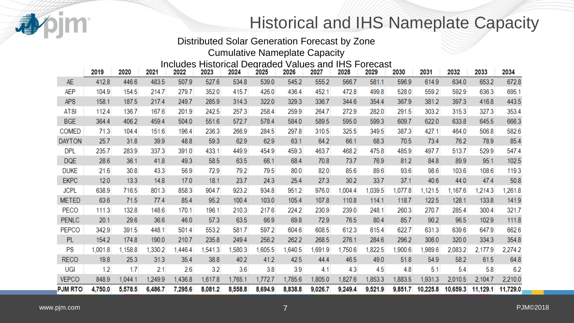

# Historical and IHS Nameplate Capacity

#### Distributed Solar Generation Forecast by Zone

Cumulative Nameplate Capacity

#### Includes Historical Degraded Values and IHS Forecast

|                | 2019    | 2020    | 2021    | 2022    | 2023    | 2024    | 2025    | 2026    | 2027    | 2028    | 2029    | 2030    | 2031     | 2032     | 2033     | 2034     |
|----------------|---------|---------|---------|---------|---------|---------|---------|---------|---------|---------|---------|---------|----------|----------|----------|----------|
| <b>AE</b>      | 412.8   | 446.6   | 483.5   | 507.9   | 527.6   | 534.8   | 539.0   | 545.2   | 555.2   | 566.7   | 581.1   | 596.9   | 614.9    | 634.0    | 653.2    | 672.8    |
| AEP            | 104.9   | 154.5   | 214.7   | 279.7   | 352.0   | 415.7   | 426.0   | 436.4   | 452.1   | 472.8   | 499.8   | 528.0   | 559.2    | 592.9    | 636.3    | 695.1    |
| <b>APS</b>     | 158.1   | 187.5   | 217.4   | 249.7   | 285.9   | 314.3   | 322.0   | 329.3   | 336.7   | 344.6   | 354.4   | 367.9   | 381.2    | 397.3    | 416.8    | 443.5    |
| <b>ATSI</b>    | 112.4   | 136.7   | 167.6   | 201.9   | 242.5   | 257.3   | 258.4   | 259.9   | 264.7   | 272.9   | 282.0   | 291.5   | 303.2    | 315.3    | 327.3    | 353.4    |
| <b>BGE</b>     | 364.4   | 406.2   | 459.4   | 504.0   | 551.6   | 572.7   | 578.4   | 584.0   | 589.5   | 595.0   | 599.3   | 609.7   | 622.0    | 633.8    | 645.5    | 666.3    |
| <b>COMED</b>   | 71.3    | 104.4   | 151.6   | 196.4   | 236.3   | 266.9   | 284.5   | 297.8   | 310.5   | 325.5   | 349.5   | 387.3   | 427.1    | 464.0    | 506.8    | 582.6    |
| <b>DAYTON</b>  | 25.7    | 31.8    | 39.9    | 48.8    | 59.3    | 62.9    | 62.9    | 63.1    | 64.2    | 66.1    | 68.3    | 70.5    | 73.4     | 76.2     | 78.9     | 85.4     |
| <b>DPL</b>     | 235.7   | 283.9   | 337.3   | 391.0   | 433.1   | 449.9   | 454.9   | 459.3   | 463.7   | 468.2   | 475.8   | 485.9   | 497.7    | 513.7    | 529.9    | 547.4    |
| <b>DQE</b>     | 28.6    | 36.1    | 41.8    | 49.3    | 58.5    | 63.5    | 66.1    | 68.4    | 70.8    | 73.7    | 76.9    | 81.2    | 84.8     | 89.9     | 95.1     | 102.5    |
| <b>DUKE</b>    | 21.6    | 30.8    | 43.3    | 56.9    | 72.9    | 79.2    | 79.5    | 80.0    | 82.0    | 85.6    | 89.6    | 93.6    | 98.6     | 103.6    | 108.6    | 119.3    |
| <b>EKPC</b>    | 12.0    | 13.3    | 14.8    | 17.0    | 18.1    | 23.7    | 24.3    | 25.4    | 27.3    | 30.2    | 33.7    | 37.1    | 40.6     | 44.0     | 47.4     | 50.8     |
| <b>JCPL</b>    | 638.9   | 716.5   | 801.3   | 858.3   | 904.7   | 923.2   | 934.8   | 951.2   | 976.0   | ,004.4  | 1,039.5 | 1,077.8 | 1,121.5  | 1,167.6  | ,214.3   | ,261.8   |
| <b>METED</b>   | 63.6    | 71.5    | 77.4    | 85.4    | 95.2    | 100.4   | 103.0   | 105.4   | 107.8   | 110.8   | 114.1   | 118.7   | 122.5    | 128.1    | 133.8    | 141.9    |
| PECO           | 111.3   | 132.8   | 148.6   | 170.1   | 196.1   | 210.3   | 217.6   | 224.2   | 230.9   | 239.0   | 248.1   | 260.3   | 270.7    | 285.4    | 300.4    | 321.7    |
| <b>PENLC</b>   | 20.1    | 29.6    | 36.6    | 46.0    | 57.3    | 63.5    | 66.9    | 69.8    | 72.9    | 76.5    | 80.4    | 85.7    | 90.2     | 96.5     | 102.9    | 111.8    |
| <b>PEPCO</b>   | 342.9   | 391.5   | 448.1   | 501.4   | 553.2   | 581.7   | 597.2   | 604.6   | 608.5   | 612.3   | 615.4   | 622.7   | 631.3    | 639.6    | 647.9    | 662.6    |
| <b>PL</b>      | 154.2   | 174.8   | 190.0   | 210.7   | 235.8   | 249.4   | 256.2   | 262.2   | 268.5   | 276.1   | 284.6   | 296.2   | 306.0    | 320.0    | 334.3    | 354.8    |
| PS             | 1,001.8 | 1,158.8 | ,330.2  | ,446.4  | ,541.3  | ,580.3  | 1,605.5 | ,640.5  | ,691.9  | 1,750.6 | 1,822.5 | ,900.6  | 1,989.6  | 2,083.2  | 2,177.9  | 2,274.2  |
| <b>RECO</b>    | 19.8    | 25.3    | 31.3    | 35.4    | 38.8    | 40.2    | 41.2    | 42.5    | 44.4    | 46.5    | 49.0    | 51.8    | 54.9     | 58.2     | 61.5     | 64.8     |
| UGI            | 1.2     | 1.7     | 2.1     | 2.6     | 3.2     | 3.6     | 3.8     | 3.9     | 4.1     | 4.3     | 4.5     | 4.8     | 5.1      | 5.4      | 5.8      | 6.2      |
| <b>VEPCO</b>   | 848.9   | 1,044.1 | 1,249.9 | 1,436.8 | 1,617.8 | 1,765.1 | 1,772.7 | 1,785.6 | 1,805.0 | 1,827.6 | 1,853.3 | 1,883.5 | 1,931.3  | 2,010.5  | 2,104.7  | 2,210.0  |
| <b>PJM RTO</b> | 4,750.0 | 5,578.5 | 6,486.7 | 7,295.6 | 8,081.2 | 8,558.8 | 8,694.9 | 8,838.8 | 9,026.7 | 9,249.4 | 9,521.9 | 9,851.7 | 10,225.8 | 10,659.3 | 11,129.1 | 11,729.0 |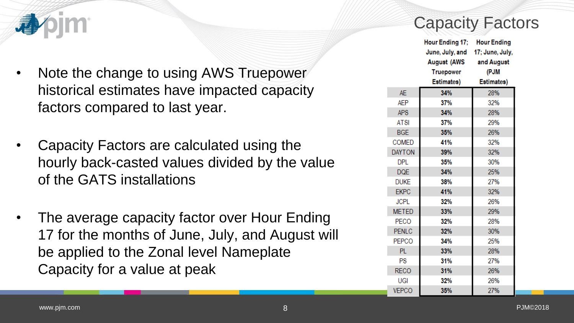

- Note the change to using AWS Truepower historical estimates have impacted capacity factors compared to last year.
- Capacity Factors are calculated using the hourly back-casted values divided by the value of the GATS installations
- The average capacity factor over Hour Ending 17 for the months of June, July, and August will be applied to the Zonal level Nameplate Capacity for a value at peak

# Capacity Factors

|               | Hour Ending 17; Hour Ending     |            |
|---------------|---------------------------------|------------|
|               | June, July, and 17; June, July, |            |
|               | August (AWS                     | and August |
|               | Truepower                       | (PJM       |
|               | Estimates)                      | Estimates) |
| <b>AE</b>     | 34%                             | 28%        |
| <b>AEP</b>    | 37%                             | 32%        |
| <b>APS</b>    | 34%                             | 28%        |
| <b>ATSI</b>   | 37%                             | 29%        |
| <b>BGE</b>    | 35%                             | 26%        |
| <b>COMED</b>  | 41%                             | 32%        |
| <b>DAYTON</b> | 39%                             | 32%        |
| <b>DPL</b>    | 35%                             | 30%        |
| <b>DQE</b>    | 34%                             | 25%        |
| <b>DUKE</b>   | 38%                             | 27%        |
| <b>EKPC</b>   | 41%                             | 32%        |
| <b>JCPL</b>   | 32%                             | 26%        |
| <b>METED</b>  | 33%                             | 29%        |
| <b>PECO</b>   | 32%                             | 28%        |
| <b>PENLC</b>  | 32%                             | 30%        |
| <b>PEPCO</b>  | 34%                             | 25%        |
| PL.           | 33%                             | 28%        |
| PS            | 31%                             | 27%        |
| <b>RECO</b>   | 31%                             | 26%        |
| UGI           | 32%                             | 26%        |
| <b>VEPCO</b>  | 35%                             | 27%        |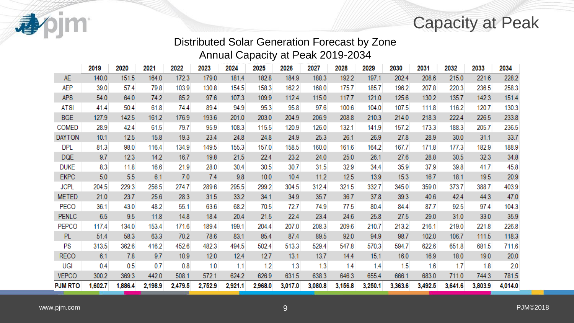Capacity at Peak

#### Distributed Solar Generation Forecast by Zone Annual Capacity at Peak 2019-2034

|                | 2019    | 2020    | 2021    | 2022    | 2023    | 2024    | 2025    | 2026    | 2027    | 2028    | 2029    | 2030    | 2031    | 2032    | 2033    | 2034    |
|----------------|---------|---------|---------|---------|---------|---------|---------|---------|---------|---------|---------|---------|---------|---------|---------|---------|
| <b>AE</b>      | 140.0   | 151.5   | 164.0   | 172.3   | 179.0   | 181.4   | 182.8   | 184.9   | 188.3   | 192.2   | 197.1   | 202.4   | 208.6   | 215.0   | 221.6   | 228.2   |
| AEP            | 39.0    | 57.4    | 79.8    | 103.9   | 130.8   | 154.5   | 158.3   | 162.2   | 168.0   | 175.7   | 185.7   | 196.2   | 207.8   | 220.3   | 236.5   | 258.3   |
| <b>APS</b>     | 54.0    | 64.0    | 74.2    | 85.2    | 97.6    | 107.3   | 109.9   | 112.4   | 115.0   | 117.7   | 121.0   | 125.6   | 130.2   | 135.7   | 142.3   | 151.4   |
| <b>ATSI</b>    | 41.4    | 50.4    | 61.8    | 74.4    | 89.4    | 94.9    | 95.3    | 95.8    | 97.6    | 100.6   | 104.0   | 107.5   | 111.8   | 116.2   | 120.7   | 130.3   |
| <b>BGE</b>     | 127.9   | 142.5   | 161.2   | 176.9   | 193.6   | 201.0   | 203.0   | 204.9   | 206.9   | 208.8   | 210.3   | 214.0   | 218.3   | 222.4   | 226.5   | 233.8   |
| <b>COMED</b>   | 28.9    | 42.4    | 61.5    | 79.7    | 95.9    | 108.3   | 115.5   | 120.9   | 126.0   | 132.1   | 141.9   | 157.2   | 173.3   | 188.3   | 205.7   | 236.5   |
| <b>DAYTON</b>  | 10.1    | 12.5    | 15.8    | 19.3    | 23.4    | 24.8    | 24.8    | 24.9    | 25.3    | 26.1    | 26.9    | 27.8    | 28.9    | 30.0    | 31.1    | 33.7    |
| <b>DPL</b>     | 81.3    | 98.0    | 116.4   | 134.9   | 149.5   | 155.3   | 157.0   | 158.5   | 160.0   | 161.6   | 164.2   | 167.7   | 171.8   | 177.3   | 182.9   | 188.9   |
| <b>DQE</b>     | 9.7     | 12.3    | 14.2    | 16.7    | 19.8    | 21.5    | 22.4    | 23.2    | 24.0    | 25.0    | 26.1    | 27.6    | 28.8    | 30.5    | 32.3    | 34.8    |
| DUKE           | 8.3     | 11.8    | 16.6    | 21.9    | 28.0    | 30.4    | 30.5    | 30.7    | 31.5    | 32.9    | 34.4    | 35.9    | 37.9    | 39.8    | 41.7    | 45.8    |
| <b>EKPC</b>    | 5.0     | 5.5     | 6.1     | 7.0     | 7.4     | 9.8     | 10.0    | 10.4    | 11.2    | 12.5    | 13.9    | 15.3    | 16.7    | 18.1    | 19.5    | 20.9    |
| <b>JCPL</b>    | 204.5   | 229.3   | 256.5   | 274.7   | 289.6   | 295.5   | 299.2   | 304.5   | 312.4   | 321.5   | 332.7   | 345.0   | 359.0   | 373.7   | 388.7   | 403.9   |
| <b>METED</b>   | 21.0    | 23.7    | 25.6    | 28.3    | 31.5    | 33.2    | 34.1    | 34.9    | 35.7    | 36.7    | 37.8    | 39.3    | 40.6    | 42.4    | 44.3    | 47.0    |
| PECO           | 36.1    | 43.0    | 48.2    | 55.1    | 63.6    | 68.2    | 70.5    | 72.7    | 74.9    | 77.5    | 80.4    | 84.4    | 87.7    | 92.5    | 97.4    | 104.3   |
| <b>PENLC</b>   | 6.5     | 9.5     | 11.8    | 14.8    | 18.4    | 20.4    | 21.5    | 22.4    | 23.4    | 24.6    | 25.8    | 27.5    | 29.0    | 31.0    | 33.0    | 35.9    |
| <b>PEPCO</b>   | 117.4   | 134.0   | 153.4   | 171.6   | 189.4   | 199.1   | 204.4   | 207.0   | 208.3   | 209.6   | 210.7   | 213.2   | 216.1   | 219.0   | 221.8   | 226.8   |
| <b>PL</b>      | 51.4    | 58.3    | 63.3    | 70.2    | 78.6    | 83.1    | 85.4    | 87.4    | 89.5    | 92.0    | 94.9    | 98.7    | 102.0   | 106.7   | 111.5   | 118.3   |
| PS             | 313.5   | 362.6   | 416.2   | 452.6   | 482.3   | 494.5   | 502.4   | 513.3   | 529.4   | 547.8   | 570.3   | 594.7   | 622.6   | 651.8   | 681.5   | 711.6   |
| <b>RECO</b>    | 6.1     | 7.8     | 9.7     | 10.9    | 12.0    | 12.4    | 12.7    | 13.1    | 13.7    | 14.4    | 15.1    | 16.0    | 16.9    | 18.0    | 19.0    | 20.0    |
| UGI            | 0.4     | 0.5     | 0.7     | 0.8     | 1.0     | 1.1     | 1.2     | 1.3     | 1.3     | 1.4     | 1.4     | 1.5     | 1.6     | 1.7     | 1.8     | 2.0     |
| <b>VEPCO</b>   | 300.2   | 369.3   | 442.0   | 508.1   | 572.1   | 624.2   | 626.9   | 631.5   | 638.3   | 646.3   | 655.4   | 666.1   | 683.0   | 711.0   | 744.3   | 781.5   |
| <b>PJM RTO</b> | 1,602.7 | 1,886.4 | 2,198.9 | 2,479.5 | 2,752.9 | 2,921.1 | 2,968.0 | 3,017.0 | 3,080.8 | 3,156.8 | 3,250.1 | 3,363.6 | 3,492.5 | 3,641.6 | 3,803.9 | 4,014.0 |

**bjm** 

看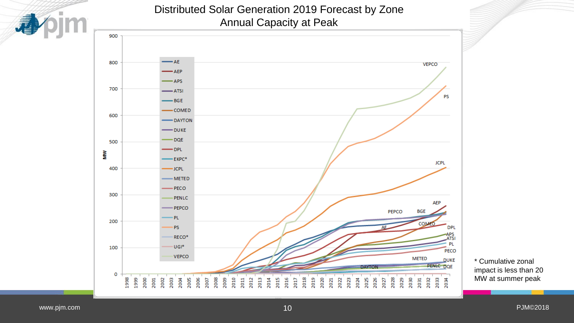

#### Distributed Solar Generation 2019 Forecast by Zone Annual Capacity at Peak



\* Cumulative zonal impact is less than 20 MW at summer peak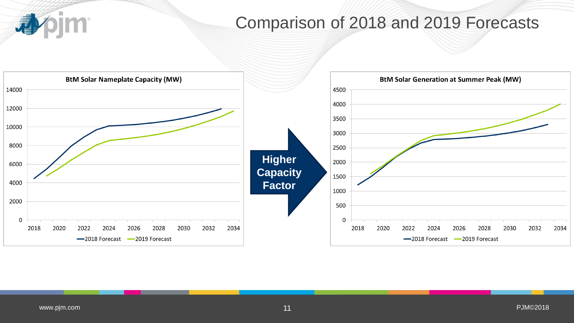

# Comparison of 2018 and 2019 Forecasts

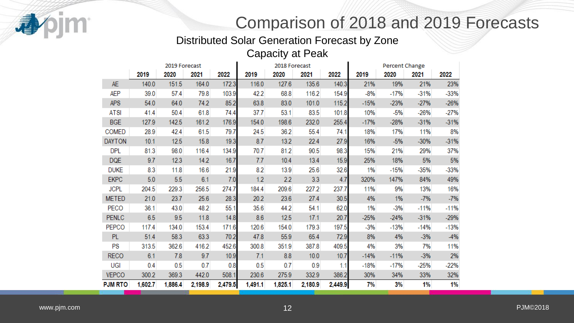

# Comparison of 2018 and 2019 Forecasts

Distributed Solar Generation Forecast by Zone Capacity at Peak

|                |         | 2019 Forecast |         |         |         | 2018 Forecast |         |         | Percent Change |        |        |        |  |
|----------------|---------|---------------|---------|---------|---------|---------------|---------|---------|----------------|--------|--------|--------|--|
|                | 2019    | 2020          | 2021    | 2022    | 2019    | 2020          | 2021    | 2022    | 2019           | 2020   | 2021   | 2022   |  |
| <b>AE</b>      | 140.0   | 151.5         | 164.0   | 172.3   | 116.0   | 127.6         | 135.6   | 140.3   | 21%            | 19%    | 21%    | 23%    |  |
| AEP            | 39.0    | 57.4          | 79.8    | 103.9   | 42.2    | 68.8          | 116.2   | 154.9   | $-8%$          | $-17%$ | $-31%$ | $-33%$ |  |
| <b>APS</b>     | 54.0    | 64.0          | 74.2    | 85.2    | 63.8    | 83.0          | 101.0   | 115.2   | $-15%$         | $-23%$ | $-27%$ | $-26%$ |  |
| <b>ATSI</b>    | 41.4    | 50.4          | 61.8    | 74.4    | 37.7    | 53.1          | 83.5    | 101.8   | 10%            | $-5%$  | $-26%$ | $-27%$ |  |
| <b>BGE</b>     | 127.9   | 142.5         | 161.2   | 176.9   | 154.0   | 198.6         | 232.0   | 255.4   | $-17%$         | $-28%$ | $-31%$ | $-31%$ |  |
| <b>COMED</b>   | 28.9    | 42.4          | 61.5    | 79.7    | 24.5    | 36.2          | 55.4    | 74.1    | 18%            | 17%    | 11%    | 8%     |  |
| <b>DAYTON</b>  | 10.1    | 12.5          | 15.8    | 19.3    | 8.7     | 13.2          | 22.4    | 27.9    | 16%            | $-5%$  | $-30%$ | $-31%$ |  |
| <b>DPL</b>     | 81.3    | 98.0          | 116.4   | 134.9   | 70.7    | 81.2          | 90.5    | 98.3    | 15%            | 21%    | 29%    | 37%    |  |
| <b>DQE</b>     | 9.7     | 12.3          | 14.2    | 16.7    | 7.7     | 10.4          | 13.4    | 15.9    | 25%            | 18%    | 5%     | 5%     |  |
| <b>DUKE</b>    | 8.3     | 11.8          | 16.6    | 21.9    | 8.2     | 13.9          | 25.6    | 32.6    | 1%             | $-15%$ | $-35%$ | $-33%$ |  |
| <b>EKPC</b>    | 5.0     | 5.5           | 6.1     | 7.0     | 1.2     | 2.2           | 3.3     | 4.7     | 320%           | 147%   | 84%    | 49%    |  |
| <b>JCPL</b>    | 204.5   | 229.3         | 256.5   | 274.7   | 184.4   | 209.6         | 227.2   | 237.7   | 11%            | 9%     | 13%    | 16%    |  |
| <b>METED</b>   | 21.0    | 23.7          | 25.6    | 28.3    | 20.2    | 23.6          | 27.4    | 30.5    | 4%             | 1%     | $-7%$  | $-7%$  |  |
| PECO           | 36.1    | 43.0          | 48.2    | 55.1    | 35.6    | 44.2          | 54.1    | 62.0    | 1%             | $-3%$  | $-11%$ | $-11%$ |  |
| <b>PENLC</b>   | 6.5     | 9.5           | 11.8    | 14.8    | 8.6     | 12.5          | 17.1    | 20.7    | $-25%$         | $-24%$ | $-31%$ | $-29%$ |  |
| PEPCO          | 117.4   | 134.0         | 153.4   | 171.6   | 120.6   | 154.0         | 179.3   | 197.5   | $-3%$          | $-13%$ | $-14%$ | $-13%$ |  |
| <b>PL</b>      | 51.4    | 58.3          | 63.3    | 70.2    | 47.8    | 55.9          | 65.4    | 72.9    | 8%             | 4%     | $-3%$  | $-4%$  |  |
| PS             | 313.5   | 362.6         | 416.2   | 452.6   | 300.8   | 351.9         | 387.8   | 409.5   | 4%             | 3%     | 7%     | 11%    |  |
| <b>RECO</b>    | 6.1     | 7.8           | 9.7     | 10.9    | 7.1     | 8.8           | 10.0    | 10.7    | $-14%$         | $-11%$ | $-3%$  | 2%     |  |
| UGI            | 0.4     | 0.5           | 0.7     | 0.8     | 0.5     | 0.7           | 0.9     | 1.1     | $-18%$         | $-17%$ | $-25%$ | $-22%$ |  |
| <b>VEPCO</b>   | 300.2   | 369.3         | 442.0   | 508.1   | 230.6   | 275.9         | 332.9   | 386.2   | 30%            | 34%    | 33%    | 32%    |  |
| <b>PJM RTO</b> | 1,602.7 | 1,886.4       | 2,198.9 | 2,479.5 | 1.491.1 | 1,825.1       | 2.180.9 | 2,449.9 | 7%             | 3%     | 1%     | 1%     |  |